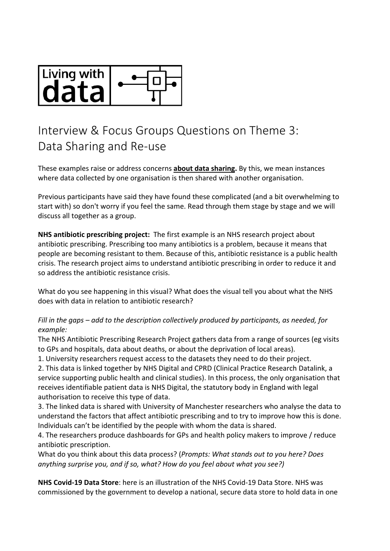

## Interview & Focus Groups Questions on Theme 3: Data Sharing and Re-use

These examples raise or address concerns **about data sharing.** By this, we mean instances where data collected by one organisation is then shared with another organisation.

Previous participants have said they have found these complicated (and a bit overwhelming to start with) so don't worry if you feel the same. Read through them stage by stage and we will discuss all together as a group.

**NHS antibiotic prescribing project:** The first example is an NHS research project about antibiotic prescribing. Prescribing too many antibiotics is a problem, because it means that people are becoming resistant to them. Because of this, antibiotic resistance is a public health crisis. The research project aims to understand antibiotic prescribing in order to reduce it and so address the antibiotic resistance crisis.

What do you see happening in this visual? What does the visual tell you about what the NHS does with data in relation to antibiotic research?

## *Fill in the gaps – add to the description collectively produced by participants, as needed, for example:*

The NHS Antibiotic Prescribing Research Project gathers data from a range of sources (eg visits to GPs and hospitals, data about deaths, or about the deprivation of local areas).

1. University researchers request access to the datasets they need to do their project.

2. This data is linked together by NHS Digital and CPRD (Clinical Practice Research Datalink, a service supporting public health and clinical studies). In this process, the only organisation that receives identifiable patient data is NHS Digital, the statutory body in England with legal authorisation to receive this type of data.

3. The linked data is shared with University of Manchester researchers who analyse the data to understand the factors that affect antibiotic prescribing and to try to improve how this is done. Individuals can't be identified by the people with whom the data is shared.

4. The researchers produce dashboards for GPs and health policy makers to improve / reduce antibiotic prescription.

What do you think about this data process? (*Prompts: What stands out to you here? Does anything surprise you, and if so, what? How do you feel about what you see?)*

**NHS Covid-19 Data Store**: here is an illustration of the NHS Covid-19 Data Store. NHS was commissioned by the government to develop a national, secure data store to hold data in one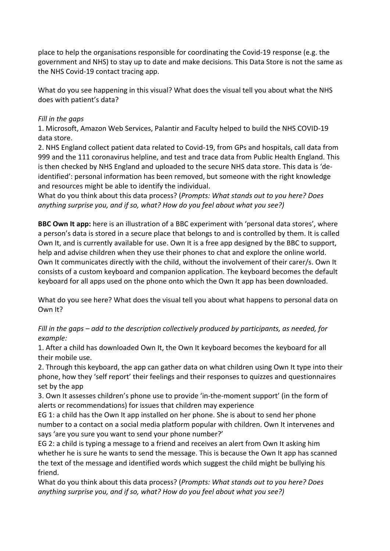place to help the organisations responsible for coordinating the Covid-19 response (e.g. the government and NHS) to stay up to date and make decisions. This Data Store is not the same as the NHS Covid-19 contact tracing app.

What do you see happening in this visual? What does the visual tell you about what the NHS does with patient's data?

## *Fill in the gaps*

1. Microsoft, Amazon Web Services, Palantir and Faculty helped to build the NHS COVID-19 data store.

2. NHS England collect patient data related to Covid-19, from GPs and hospitals, call data from 999 and the 111 coronavirus helpline, and test and trace data from Public Health England. This is then checked by NHS England and uploaded to the secure NHS data store. This data is 'deidentified': personal information has been removed, but someone with the right knowledge and resources might be able to identify the individual.

What do you think about this data process? (*Prompts: What stands out to you here? Does anything surprise you, and if so, what? How do you feel about what you see?)*

**BBC Own It app:** here is an illustration of a BBC experiment with 'personal data stores', where a person's data is stored in a secure place that belongs to and is controlled by them. It is called Own It, and is currently available for use. Own It is a free app designed by the BBC to support, help and advise children when they use their phones to chat and explore the online world. Own It communicates directly with the child, without the involvement of their carer/s. Own It consists of a custom keyboard and companion application. The keyboard becomes the default keyboard for all apps used on the phone onto which the Own It app has been downloaded.

What do you see here? What does the visual tell you about what happens to personal data on Own It?

*Fill in the gaps – add to the description collectively produced by participants, as needed, for example:*

1. After a child has downloaded Own It, the Own It keyboard becomes the keyboard for all their mobile use.

2. Through this keyboard, the app can gather data on what children using Own It type into their phone, how they 'self report' their feelings and their responses to quizzes and questionnaires set by the app

3. Own It assesses children's phone use to provide 'in-the-moment support' (in the form of alerts or recommendations) for issues that children may experience

EG 1: a child has the Own It app installed on her phone. She is about to send her phone number to a contact on a social media platform popular with children. Own It intervenes and says 'are you sure you want to send your phone number?'

EG 2: a child is typing a message to a friend and receives an alert from Own It asking him whether he is sure he wants to send the message. This is because the Own It app has scanned the text of the message and identified words which suggest the child might be bullying his friend.

What do you think about this data process? (*Prompts: What stands out to you here? Does anything surprise you, and if so, what? How do you feel about what you see?)*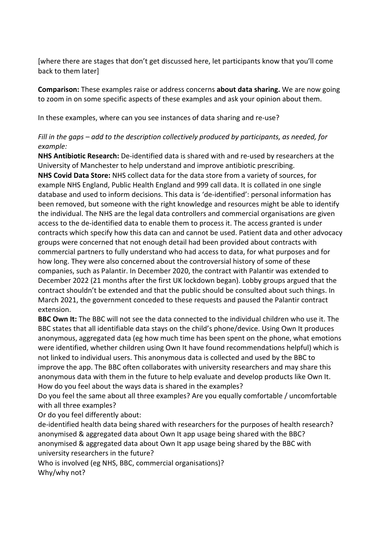[where there are stages that don't get discussed here, let participants know that you'll come back to them later]

**Comparison:** These examples raise or address concerns **about data sharing.** We are now going to zoom in on some specific aspects of these examples and ask your opinion about them.

In these examples, where can you see instances of data sharing and re-use?

## *Fill in the gaps – add to the description collectively produced by participants, as needed, for example:*

**NHS Antibiotic Research:** De-identified data is shared with and re-used by researchers at the University of Manchester to help understand and improve antibiotic prescribing.

**NHS Covid Data Store:** NHS collect data for the data store from a variety of sources, for example NHS England, Public Health England and 999 call data. It is collated in one single database and used to inform decisions. This data is 'de-identified': personal information has been removed, but someone with the right knowledge and resources might be able to identify the individual. The NHS are the legal data controllers and commercial organisations are given access to the de-identified data to enable them to process it. The access granted is under contracts which specify how this data can and cannot be used. Patient data and other advocacy groups were concerned that not enough detail had been provided about contracts with commercial partners to fully understand who had access to data, for what purposes and for how long. They were also concerned about the controversial history of some of these companies, such as Palantir. In December 2020, the contract with Palantir was extended to December 2022 (21 months after the first UK lockdown began). Lobby groups argued that the contract shouldn't be extended and that the public should be consulted about such things. In March 2021, the government conceded to these requests and paused the Palantir contract extension.

**BBC Own It:** The BBC will not see the data connected to the individual children who use it. The BBC states that all identifiable data stays on the child's phone/device. Using Own It produces anonymous, aggregated data (eg how much time has been spent on the phone, what emotions were identified, whether children using Own It have found recommendations helpful) which is not linked to individual users. This anonymous data is collected and used by the BBC to improve the app. The BBC often collaborates with university researchers and may share this anonymous data with them in the future to help evaluate and develop products like Own It. How do you feel about the ways data is shared in the examples?

Do you feel the same about all three examples? Are you equally comfortable / uncomfortable with all three examples?

Or do you feel differently about:

de-identified health data being shared with researchers for the purposes of health research? anonymised & aggregated data about Own It app usage being shared with the BBC? anonymised & aggregated data about Own It app usage being shared by the BBC with university researchers in the future?

Who is involved (eg NHS, BBC, commercial organisations)? Why/why not?